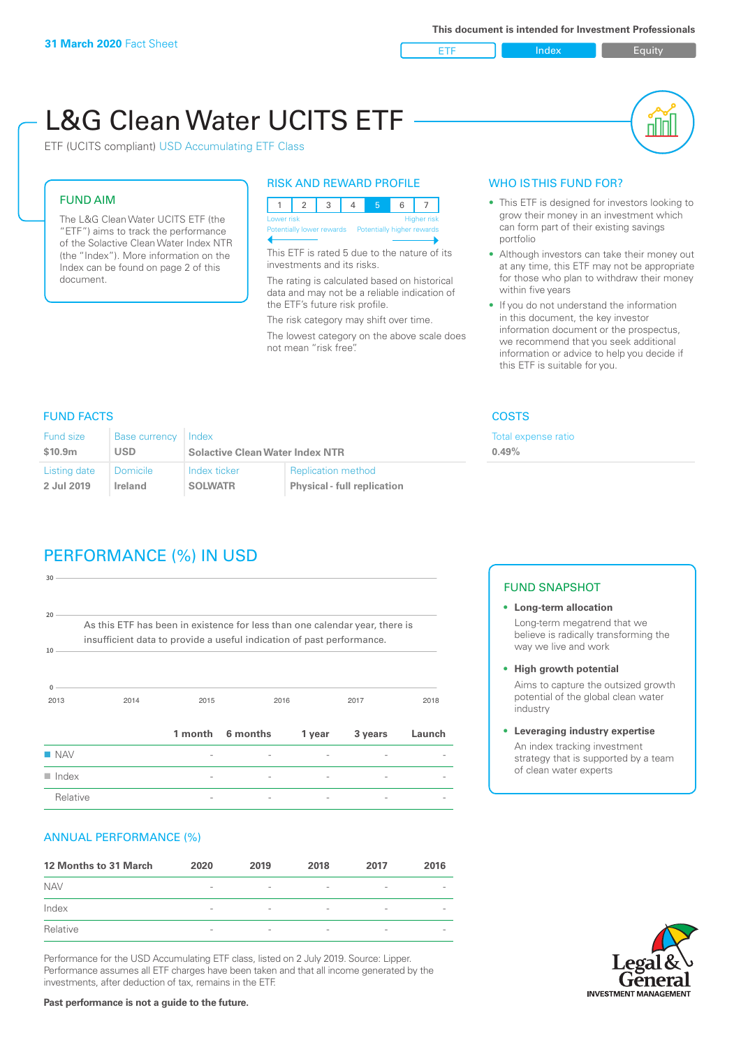ETF Index Builty

nN

# L&G Clean Water UCITS ETF

ETF (UCITS compliant) USD Accumulating ETF Class

### FUND AIM

The L&G Clean Water UCITS ETF (the "ETF") aims to track the performance of the Solactive Clean Water Index NTR (the "Index"). More information on the Index can be found on page 2 of this document.

#### RISK AND REWARD PROFILE

|  | Lower risk<br><b>Higher risk</b> |  |  |  |                                                      |  |  |  |  |
|--|----------------------------------|--|--|--|------------------------------------------------------|--|--|--|--|
|  |                                  |  |  |  | Potentially lower rewards Potentially higher rewards |  |  |  |  |
|  |                                  |  |  |  |                                                      |  |  |  |  |

This ETF is rated 5 due to the nature of its investments and its risks.

The rating is calculated based on historical data and may not be a reliable indication of the ETF's future risk profile.

The risk category may shift over time. The lowest category on the above scale does not mean "risk free".

#### WHO IS THIS FUND FOR?

- This ETF is designed for investors looking to grow their money in an investment which can form part of their existing savings portfolio
- Although investors can take their money out at any time, this ETF may not be appropriate for those who plan to withdraw their money within five years
- If you do not understand the information in this document, the key investor information document or the prospectus, we recommend that you seek additional information or advice to help you decide if this ETF is suitable for you.

xpense ratio

#### FUND FACTS COSTS

| <b>Fund size</b> | Base currency   Index |                                        |                                    | Total e |
|------------------|-----------------------|----------------------------------------|------------------------------------|---------|
| \$10.9m          | USD                   | <b>Solactive Clean Water Index NTR</b> | 0.49%                              |         |
| Listing date     | l Domicile            | Index ticker                           | <b>Replication method</b>          |         |
| 2 Jul 2019       | Ireland               | <b>SOLWATR</b>                         | <b>Physical - full replication</b> |         |

## PERFORMANCE (%) IN USD

| 30                   |                                                                                                                                                      |         |          |        |         |        |
|----------------------|------------------------------------------------------------------------------------------------------------------------------------------------------|---------|----------|--------|---------|--------|
| 20<br>10             | As this ETF has been in existence for less than one calendar year, there is<br>insufficient data to provide a useful indication of past performance. |         |          |        |         |        |
| $\Omega$<br>2013     | 2014                                                                                                                                                 | 2015    |          | 2016   | 2017    | 2018   |
|                      |                                                                                                                                                      | 1 month | 6 months | 1 year | 3 years | Launch |
| $\blacksquare$ NAV   |                                                                                                                                                      |         |          |        |         |        |
| $\blacksquare$ Index |                                                                                                                                                      |         |          |        |         |        |
| Relative             |                                                                                                                                                      |         |          |        |         |        |

#### ANNUAL PERFORMANCE (%)

| 12 Months to 31 March | 2020                     | 2019                     | 2018                     | 2017                     | 2016                     |
|-----------------------|--------------------------|--------------------------|--------------------------|--------------------------|--------------------------|
| <b>NAV</b>            | $\overline{\phantom{a}}$ | $\sim$                   | $\overline{\phantom{a}}$ | $\qquad \qquad$          | $\overline{\phantom{a}}$ |
| Index                 | $\qquad \qquad$          | $\qquad \qquad$          | $\overline{\phantom{a}}$ | $\qquad \qquad$          | $\overline{\phantom{a}}$ |
| Relative              | $\overline{\phantom{a}}$ | $\overline{\phantom{a}}$ | $\overline{\phantom{a}}$ | $\overline{\phantom{0}}$ | $\overline{\phantom{a}}$ |

Performance for the USD Accumulating ETF class, listed on 2 July 2019. Source: Lipper. Performance assumes all ETF charges have been taken and that all income generated by the investments, after deduction of tax, remains in the ETF.

#### FUND SNAPSHOT

- **• Long-term allocation** Long-term megatrend that we believe is radically transforming the way we live and work
- **• High growth potential** Aims to capture the outsized growth potential of the global clean water
- industry **• Leveraging industry expertise**

An index tracking investment strategy that is supported by a team of clean water experts



**Past performance is not a guide to the future.**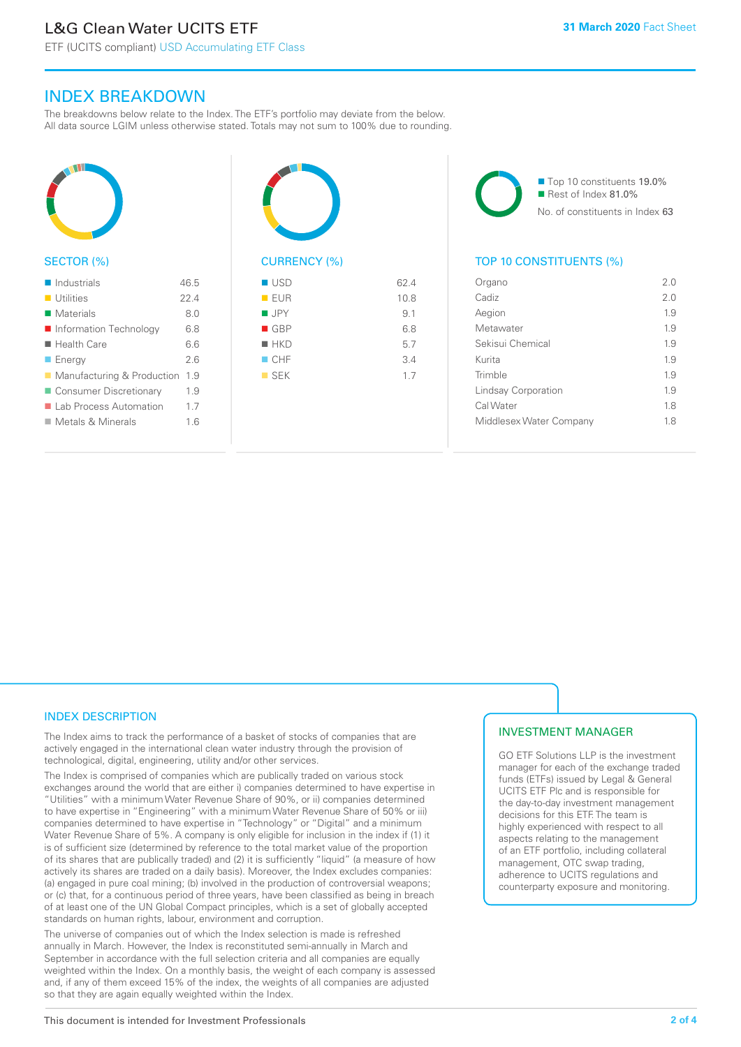ETF (UCITS compliant) USD Accumulating ETF Class

### INDEX BREAKDOWN

The breakdowns below relate to the Index. The ETF's portfolio may deviate from the below. All data source LGIM unless otherwise stated. Totals may not sum to 100% due to rounding.



#### SECTOR (%)

| Industrials                      | 46.5 |
|----------------------------------|------|
| $\blacksquare$ Utilities         | 224  |
| Materials                        | 80   |
| Information Technology           | 68   |
| $\blacksquare$ Health Care       | 66   |
| $\blacksquare$ Energy            | 26   |
| ■ Manufacturing & Production     | 1.9  |
| ■ Consumer Discretionary         | 19   |
| ■ Lab Process Automation         | 17   |
| $\blacksquare$ Metals & Minerals | 16   |
|                                  |      |



# $\blacksquare$  USD 62.4

|                    | ---  |
|--------------------|------|
| EUR                | 10.8 |
| $\blacksquare$ JPY | 9.1  |
| $\blacksquare$ GBP | 6.8  |
| $H$ HKD            | 5.7  |
| CHF                | 3.4  |
| $\blacksquare$ SEK | 1.7  |
|                    |      |
|                    |      |

■ Top 10 constituents 19.0% Rest of Index 81.0% No. of constituents in Index 63

#### TOP 10 CONSTITUENTS (%)

| Organo                  | 20  |
|-------------------------|-----|
| Cadiz                   | 20  |
| Aegion                  | 1.9 |
| Metawater               | 1.9 |
| Sekisui Chemical        | 19  |
| Kurita                  | 1.9 |
| Trimble                 | 1.9 |
| Lindsay Corporation     | 19  |
| Cal Water               | 18  |
| Middlesex Water Company | 18  |
|                         |     |

#### INDEX DESCRIPTION

The Index aims to track the performance of a basket of stocks of companies that are actively engaged in the international clean water industry through the provision of technological, digital, engineering, utility and/or other services.

The Index is comprised of companies which are publically traded on various stock exchanges around the world that are either i) companies determined to have expertise in "Utilities" with a minimum Water Revenue Share of 90%, or ii) companies determined to have expertise in "Engineering" with a minimum Water Revenue Share of 50% or iii) companies determined to have expertise in "Technology" or "Digital" and a minimum Water Revenue Share of 5%. A company is only eligible for inclusion in the index if (1) it is of sufficient size (determined by reference to the total market value of the proportion of its shares that are publically traded) and (2) it is sufficiently "liquid" (a measure of how actively its shares are traded on a daily basis). Moreover, the Index excludes companies: (a) engaged in pure coal mining; (b) involved in the production of controversial weapons; or (c) that, for a continuous period of three years, have been classified as being in breach of at least one of the UN Global Compact principles, which is a set of globally accepted standards on human rights, labour, environment and corruption.

The universe of companies out of which the Index selection is made is refreshed annually in March. However, the Index is reconstituted semi-annually in March and September in accordance with the full selection criteria and all companies are equally weighted within the Index. On a monthly basis, the weight of each company is assessed and, if any of them exceed 15% of the index, the weights of all companies are adjusted so that they are again equally weighted within the Index.

#### INVESTMENT MANAGER

GO ETF Solutions LLP is the investment manager for each of the exchange traded funds (ETFs) issued by Legal & General UCITS ETF Plc and is responsible for the day-to-day investment management decisions for this ETF. The team is highly experienced with respect to all aspects relating to the management of an ETF portfolio, including collateral management, OTC swap trading, adherence to UCITS regulations and counterparty exposure and monitoring.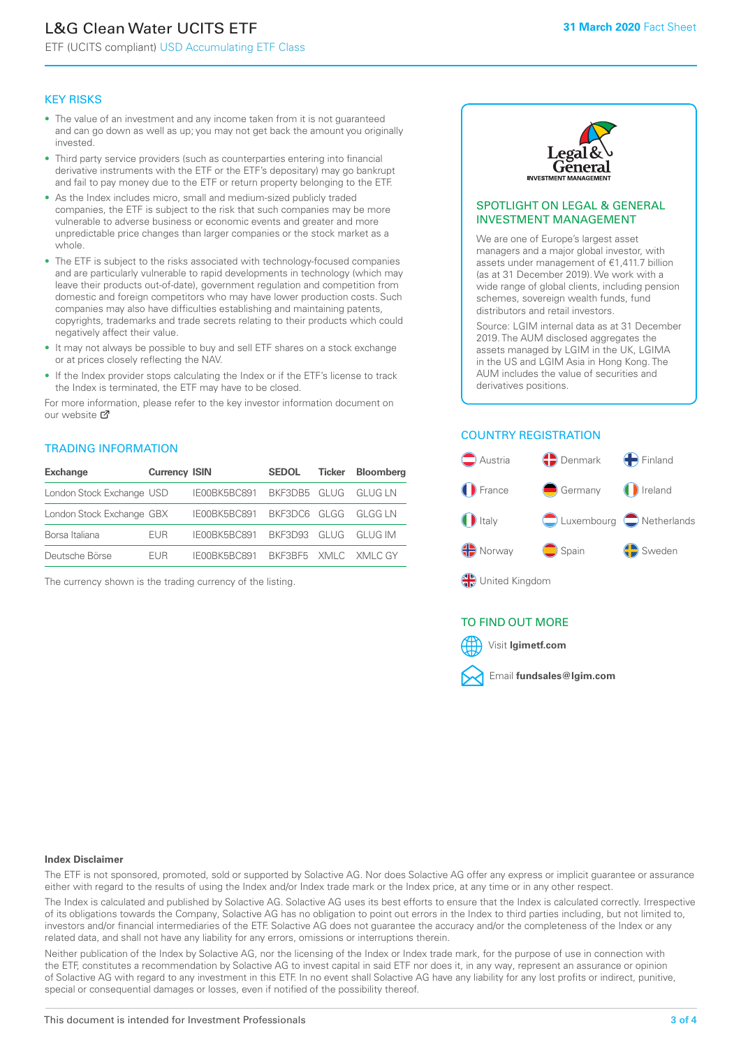# L&G Clean Water UCITS ETF

ETF (UCITS compliant) USD Accumulating ETF Class

#### KEY RISKS

- The value of an investment and any income taken from it is not guaranteed and can go down as well as up; you may not get back the amount you originally invested.
- Third party service providers (such as counterparties entering into financial derivative instruments with the ETF or the ETF's depositary) may go bankrupt and fail to pay money due to the ETF or return property belonging to the ETF.
- As the Index includes micro, small and medium-sized publicly traded companies, the ETF is subject to the risk that such companies may be more vulnerable to adverse business or economic events and greater and more unpredictable price changes than larger companies or the stock market as a whole.
- The ETF is subject to the risks associated with technology-focused companies and are particularly vulnerable to rapid developments in technology (which may leave their products out-of-date), government regulation and competition from domestic and foreign competitors who may have lower production costs. Such companies may also have difficulties establishing and maintaining patents, copyrights, trademarks and trade secrets relating to their products which could negatively affect their value.
- It may not always be possible to buy and sell ETF shares on a stock exchange or at prices closely reflecting the NAV.
- If the Index provider stops calculating the Index or if the ETF's license to track the Index is terminated, the ETF may have to be closed.

For more information, please refer to the key investor information document on our website Ø

#### TRADING INFORMATION

| <b>Exchange</b>           | <b>Currency ISIN</b> |                                   | <b>SEDOL</b>        | Ticker | <b>Bloomberg</b> |
|---------------------------|----------------------|-----------------------------------|---------------------|--------|------------------|
| London Stock Exchange USD |                      | IE00BK5BC891 BKF3DB5 GLUG GLUG LN |                     |        |                  |
| London Stock Exchange GBX |                      | IE00BK5BC891 BKF3DC6 GLGG GLGG LN |                     |        |                  |
| Borsa Italiana            | <b>FUR</b>           | IE00BK5BC891 BKF3D93 GLUG GLUG IM |                     |        |                  |
| Deutsche Börse            | FUR.                 | IFOOBK5BC891                      | BKE3BE5 XMLC XMLCGY |        |                  |

The currency shown is the trading currency of the listing.



#### SPOTLIGHT ON LEGAL & GENERAL INVESTMENT MANAGEMENT

We are one of Europe's largest asset managers and a major global investor, with assets under management of €1,411.7 billion (as at 31 December 2019). We work with a wide range of global clients, including pension schemes, sovereign wealth funds, fund distributors and retail investors.

Source: LGIM internal data as at 31 December 2019. The AUM disclosed aggregates the assets managed by LGIM in the UK, LGIMA in the US and LGIM Asia in Hong Kong. The AUM includes the value of securities and derivatives positions.

#### COUNTRY REGISTRATION



#### TO FIND OUT MORE



#### **Index Disclaimer**

The ETF is not sponsored, promoted, sold or supported by Solactive AG. Nor does Solactive AG offer any express or implicit guarantee or assurance either with regard to the results of using the Index and/or Index trade mark or the Index price, at any time or in any other respect.

The Index is calculated and published by Solactive AG. Solactive AG uses its best efforts to ensure that the Index is calculated correctly. Irrespective of its obligations towards the Company, Solactive AG has no obligation to point out errors in the Index to third parties including, but not limited to, investors and/or financial intermediaries of the ETF. Solactive AG does not guarantee the accuracy and/or the completeness of the Index or any related data, and shall not have any liability for any errors, omissions or interruptions therein.

Neither publication of the Index by Solactive AG, nor the licensing of the Index or Index trade mark, for the purpose of use in connection with the ETF, constitutes a recommendation by Solactive AG to invest capital in said ETF nor does it, in any way, represent an assurance or opinion of Solactive AG with regard to any investment in this ETF. In no event shall Solactive AG have any liability for any lost profits or indirect, punitive, special or consequential damages or losses, even if notified of the possibility thereof.